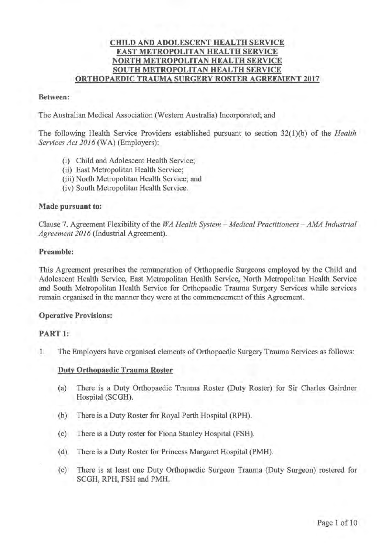## CHILD AND ADOLESCENT HEALTH SERVICE EAST METROPOLITAN HEALTH SERVICE NORTH METROPOLITAN HEALTH SERVICE SOUTH METROPOLITAN HEALTH SERVICE ORTHOPAEDIC TRAUMA SURGERY ROSTER AGREEMENT 2017

#### Between:

The Australian Medical Association (Western Australia) Incorporated; and

The following Health Service Providers established pursuant to section 32(1 )(b) of the *Health Services Act 2016* (WA) (Employers):

- (i) Child and Adolescent Health Service;
- (ii) East Metropolitan Health Service;
- (iii) North Metropolitan Health Service; and
- (iv) South Metropolitan Health Service.

### Made pursuant to:

Clause 7. Agreement Flexibility of the *WA Health System -Medical Practitioners -AMA Industrial Agreement 2016* (Industrial Agreement).

#### Preamble:

This Agreement prescribes the remuneration of Orthopaedic Surgeons employed by the Child and Adolescent Health Service, East Metropolitan Health Service, North Metropolitan Health Service and South Metropolitan Health Service for Orthopaedic Trauma Surgery Services while services remain organised in the manner they were at the commencement of this Agreement.

#### Operative Provisions:

#### PART 1:

1. The Employers have organised elements of Orthopaedic Surgery Trauma Services as follows:

#### Duty Orthopaedic Trauma Roster

- (a) There is a Duty Orthopaedic Trauma Roster (Duty Roster) for Sir Charles Gairdner Hospital (SCGH).
- (b) There is a Duty Roster for Royal Perth Hospital (RPH).
- ( c) There is a Duty roster for Fiona Stanley Hospital (FSH).
- ( d) There is a Duty Roster for Princess Margaret Hospital (PMH).
- (e) There is at least one Duty Orthopaedic Surgeon Trauma (Duty Surgeon) rostered for SCGH, RPH, FSH and PMH.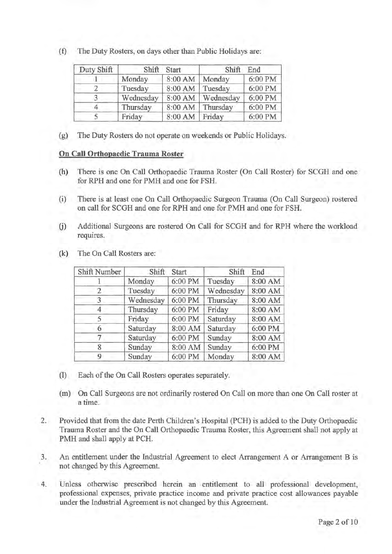(f) The Duty Rosters, on days other than Public Holidays are:

| Duty Shift | Shift     | Start   | Shift     | End     |
|------------|-----------|---------|-----------|---------|
|            | Monday    | 8:00 AM | Monday    | 6:00 PM |
|            | Tuesday   | 8:00 AM | Tuesday   | 6:00 PM |
|            | Wednesday | 8:00 AM | Wednesday | 6:00 PM |
|            | Thursday  | 8:00 AM | Thursday  | 6:00 PM |
|            | Friday    | 8:00 AM | Friday    | 6:00 PM |

(g) The Duty Rosters do not operate on weekends or Public Holidays.

### **On Call Orthopaedic Trauma Roster**

- (h) There is one On Call Orthopaedic Trauma Roster (On Call Roster) for SCOH and one for RPH and one for PMH and one for FSH.
- (i) There is at least one On Call Orthopaedic Surgeon Trauma (On Call Surgeon) rostered on call for SCOH and one for RPH and one for PMH and one for FSH.
- G) Additional Surgeons are rostered On Call for SCOH and for RPH where the workload requires.

| Shift Number | Shift     | <b>Start</b> | Shift     | End     |
|--------------|-----------|--------------|-----------|---------|
|              | Monday    | 6:00 PM      | Tuesday   | 8:00 AM |
|              | Tuesday   | 6:00 PM      | Wednesday | 8:00 AM |
|              | Wednesday | 6:00 PM      | Thursday  | 8:00 AM |
|              | Thursday  | 6:00 PM      | Friday    | 8:00 AM |
|              | Friday    | 6:00 PM      | Saturday  | 8:00 AM |
| 6            | Saturday  | 8:00 AM      | Saturday  | 6:00 PM |
|              | Saturday  | 6:00 PM      | Sunday    | 8:00 AM |
| 8            | Sunday    | 8:00 AM      | Sunday    | 6:00 PM |
| 9            | Sunday    | 6:00 PM      | Monday    | 8:00 AM |

(k) The On Call Rosters are:

- (1) Each of the On Call Rosters operates separately.
- (m) On Call Surgeons are not ordinarily rostered On Call on more than one On Call roster at a time.
- 2. Provided that from the date Perth Children's Hospital (PCH) is added to the Duty Orthopaedic Trauma Roster and the On Call Orthopaedic Trauma Roster, this Agreement shall not apply at PMH and shall apply at PCH.
- 3. An entitlement under the Industrial Agreement to elect Arrangement A or Arrangement Bis not changed by this Agreement.
- 4. Unless otherwise prescribed herein an entitlement to all professional development, professional expenses, private practice income and private practice cost allowances payable under the Industrial Agreement is not changed by this Agreement.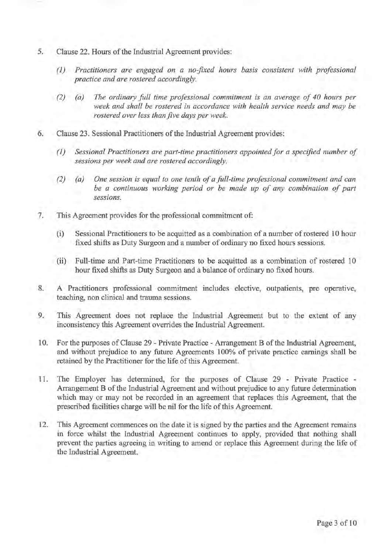- 5. Clause 22. Hours of the Industrial Agreement provides:
	- *(1) Practitioners are engaged on a no-fixed hours basis consistent with professional practice and are rostered accordingly.*
	- *(2) (a) The ordinary full time professional commitment is an average of 40 hours per week and shall be rostered in accordance with health service needs and may be rostered over less than five days per week.*
- 6. Clause 23. Sessional Practitioners of the Industrial Agreement provides:
	- *(1) Sessional Practitioners are part-time practitioners appointed for a specified number of sessions per week and are rostered accordingly.*
	- *(2) (a) One session is equal to one tenth of a full-time professional commitment and can be a continuous working period or be made up of any combination of part sessions.*
- 7. This Agreement provides for the professional commitment of:
	- (i) Sessional Practitioners to be acquitted as a combination of a number of rostered 10 hour fixed shifts as Duty Surgeon and a number of ordinary no fixed hours sessions.
	- (ii) Full-time and Part-time Practitioners to be acquitted as a combination of rostered 10 hour fixed shifts as Duty Surgeon and a balance of ordinary no fixed hours.
- 8. A Practitioners professional commitment includes elective, outpatients, pre operative, teaching, non clinical and trauma sessions.
- 9. This Agreement does not replace the Industrial Agreement but to the extent of any inconsistency this Agreement overrides the Industrial Agreement.
- 10. For the purposes of Clause 29 Private Practice Arrangement B of the Industrial Agreement, and without prejudice to any future Agreements 100% of private practice earnings shall be retained by the Practitioner for the life of this Agreement.
- 11. The Employer has determined, for the purposes of Clause 29 Private Practice Arrangement B of the Industrial Agreement and without prejudice to any future determination which may or may not be recorded in an agreement that replaces this Agreement, that the prescribed facilities charge will be nil for the life of this Agreement.
- 12. This Agreement commences on the date it is signed by the parties and the Agreement remains in force whilst the Industrial Agreement continues to apply, provided that nothing shall prevent the parties agreeing in writing to amend or replace this Agreement during the life of the Industrial Agreement.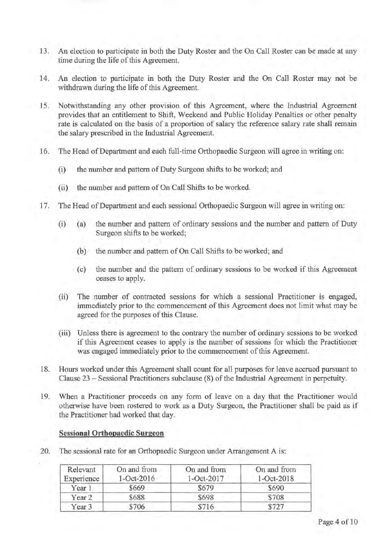- 13. An election to participate in both the Duty Roster and the On Call Roster can be made at any time during the life of this Agreement.
- 14. An election to participate in both the Duty Roster and the On Call Roster may not be withdrawn during the life of this Agreement.
	- 15. Notwithstanding any other provision of this Agreement, where the Industrial Agreement provides that an entitlement to Shift, Weekend and Public Holiday Penalties or other penalty rate is calculated on the basis of a proportion of salary the reference salary rate shall remain the salary prescribed in the Industrial Agreement.
	- 16. The Head of Department and each full-time Orthopaedic Surgeon will agree in writing on:
		- (i) the number and pattern of Duty Surgeon shifts to be worked; and
		- (ii) the number and pattern of On Call Shifts to be worked.
	- 17. The Head of Department and each sessional Orthopaedic Surgeon will agree in writing on:
		- (i) (a) the number and pattern of ordinary sessions and the number and pattern of Duty Surgeon shifts to be worked;
			- (b) the number and pattern of On Call Shifts to be worked; and
			- ( c) the number and the pattern of ordinary sessions to be worked if this Agreement ceases to apply.
		- (ii) The number of contracted sessions for which a sessional Practitioner is engaged, immediately prior to the commencement of this Agreement does not limit what may be agreed for the purposes of this Clause.
		- (iii) Unless there is agreement to the contrary the number of ordinary sessions to be worked if this Agreement ceases to apply is the number of sessions for which the Practitioner was engaged immediately prior to the commencement of this Agreement.
	- 18. Hours worked under this Agreement shall count for all purposes for leave accrued pursuant to Clause 23 - Sessional Practitioners subclause (8) of the Industrial Agreement in perpetuity.
	- 19. When a Practitioner proceeds on any form of leave on a day that the Practitioner would otherwise have been rostered to work as a Duty Surgeon, the Practitioner shall be paid as if the Practitioner had worked that day.

#### **Sessional Orthopaedic Surgeon**

20. The sessional rate for an Orthopaedic Surgeon under Arrangement A is:

| Relevant<br>Experience | On and from<br>$1 - Oct-2016$ | On and from<br>1-Oct-2017 | On and from<br>$1 - Oct - 2018$ |
|------------------------|-------------------------------|---------------------------|---------------------------------|
| Year 1                 | \$669                         | \$679                     | \$690                           |
| Year <sub>2</sub>      | \$688                         | \$698                     | \$708                           |
| Year <sub>3</sub>      | \$706                         | \$716                     | \$727                           |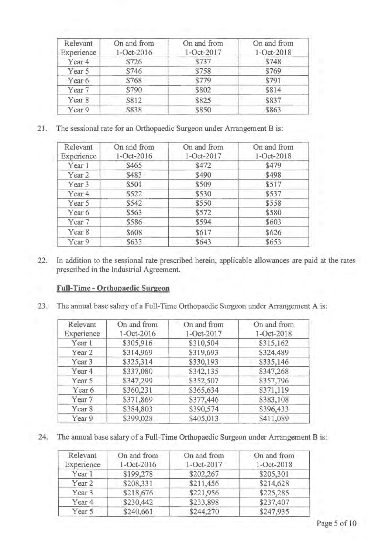| Relevant<br>Experience | On and from<br>1-Oct-2016 | On and from<br>1-Oct-2017 | On and from<br>1-Oct-2018 |
|------------------------|---------------------------|---------------------------|---------------------------|
| Year <sub>4</sub>      | \$726                     | \$737                     | \$748                     |
| Year 5                 | \$746                     | \$758                     | \$769                     |
| Year 6                 | \$768                     | \$779                     | \$791                     |
| Year 7                 | \$790                     | \$802                     | \$814                     |
| Year 8                 | \$812                     | \$825                     | \$837                     |
| Year 9                 | \$838                     | \$850                     | \$863                     |

21. The sessional rate for an Orthopaedic Surgeon under Arrangement B is:

| Relevant<br>Experience | On and from<br>1-Oct-2016 | On and from<br>1-Oct-2017 | On and from<br>1-Oct-2018 |
|------------------------|---------------------------|---------------------------|---------------------------|
| Year 1                 | \$465                     | \$472                     | \$479                     |
| Year 2                 | \$483                     | \$490                     | \$498                     |
| Year <sub>3</sub>      | \$501                     | \$509                     | \$517                     |
| Year <sub>4</sub>      | \$522                     | \$530                     | \$537                     |
| Year 5                 | \$542                     | \$550                     | \$558                     |
| Year 6                 | \$563                     | \$572                     | \$580                     |
| Year 7                 | \$586                     | \$594                     | \$603                     |
| Year 8                 | \$608                     | \$617                     | \$626                     |
| Year 9                 | \$633                     | \$643                     | \$653                     |

22. In addition to the sessional rate prescribed herein, applicable allowances are paid at the rates prescribed in the Industrial Agreement.

# **Full-Time - Orthopaedic Surgeon**

23. The annual base salary of a Full-Time Orthopaedic Surgeon under Arrangement A is:

| Relevant          | On and from | On and from | On and from |
|-------------------|-------------|-------------|-------------|
| Experience        | 1-Oct-2016  | 1-Oct-2017  | 1-Oct-2018  |
| Year 1            | \$305,916   | \$310,504   | \$315,162   |
| Year <sub>2</sub> | \$314,969   | \$319,693   | \$324.489   |
| Year <sub>3</sub> | \$325,314   | \$330,193   | \$335,146   |
| Year 4            | \$337,080   | \$342,135   | \$347,268   |
| Year 5            | \$347,299   | \$352,507   | \$357,796   |
| Year 6            | \$360,231   | \$365,634   | \$371,119   |
| Year 7            | \$371,869   | \$377,446   | \$383,108   |
| Year <sub>8</sub> | \$384,803   | \$390,574   | \$396,433   |
| Year 9            | \$399,028   | \$405,013   | \$411,089   |

24. The annual base salary of a Full-Time Orthopaedic Surgeon under Arrangement B is:

| Relevant          | On and from | On and from | On and from |
|-------------------|-------------|-------------|-------------|
| Experience        | 1-Oct-2016  | 1-Oct-2017  | 1-Oct-2018  |
| Year 1            | \$199,278   | \$202,267   | \$205,301   |
| Year <sub>2</sub> | \$208,331   | \$211,456   | \$214,628   |
| Year 3            | \$218,676   | \$221,956   | \$225,285   |
| Year 4            | \$230,442   | \$233,898   | \$237,407   |
| Year 5            | \$240,661   | \$244,270   | \$247,935   |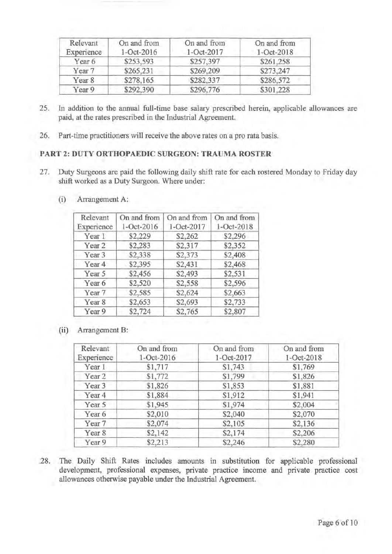| Relevant<br>Experience | On and from<br>1-Oct-2016 | On and from<br>1-Oct-2017 | On and from<br>1-Oct-2018 |
|------------------------|---------------------------|---------------------------|---------------------------|
| Year 6                 | \$253.593                 | \$257,397                 | \$261,258                 |
| Year 7                 | \$265,231                 | \$269,209                 | \$273,247                 |
| Year 8                 | \$278,165                 | \$282,337                 | \$286,572                 |
| Year 9                 | \$292,390                 | \$296,776                 | \$301,228                 |

- 25. In addition to the annual full-time base salary prescribed herein, applicable allowances are paid, at the rates prescribed in the Industrial Agreement.
- 26. Part-time practitioners will receive the above rates on a pro rata basis.

## **PART 2: DUTY ORTHOPAEDIC SURGEON: TRAUMA ROSTER**

27. Duty Surgeons are paid the following daily shift rate for each rostered Monday to Friday day shift worked as a Duty Surgeon. Where under:

| Relevant<br>Experience | On and from<br>1-Oct-2016 | On and from<br>1-Oct-2017 | On and from<br>1-Oct-2018 |
|------------------------|---------------------------|---------------------------|---------------------------|
| Year 1                 | \$2,229                   | \$2,262                   | \$2,296                   |
| Year 2                 | \$2,283                   | \$2,317                   | \$2,352                   |
| Year 3                 | \$2,338                   | \$2,373                   | \$2,408                   |
| Year 4                 | \$2,395                   | \$2,431                   | \$2,468                   |
| Year 5                 | \$2,456                   | \$2,493                   | \$2,531                   |
| Year <sub>6</sub>      | \$2,520                   | \$2,558                   | \$2,596                   |
| Year 7                 | \$2,585                   | \$2,624                   | \$2,663                   |
| Year 8                 | \$2,653                   | \$2,693                   | \$2,733                   |
| Year 9                 | \$2,724                   | \$2,765                   | \$2,807                   |

(i) Arrangement A:

(ii) Arrangement B:

| Relevant<br>Experience | On and from<br>1-Oct-2016 | On and from<br>1-Oct-2017 | On and from<br>1-Oct-2018 |
|------------------------|---------------------------|---------------------------|---------------------------|
| Year 1                 | \$1,717                   | \$1,743                   | \$1,769                   |
| Year 2                 | \$1,772                   | \$1,799                   | \$1,826                   |
| Year 3                 | \$1,826                   | \$1,853                   | \$1,881                   |
| Year 4                 | \$1,884                   | \$1,912                   | \$1,941                   |
| Year 5                 | \$1,945                   | \$1,974                   | \$2,004                   |
| Year 6                 | \$2,010                   | \$2,040                   | \$2,070                   |
| Year 7                 | \$2,074                   | \$2,105                   | \$2,136                   |
| Year 8                 | \$2,142                   | \$2,174                   | \$2,206                   |
| Year 9                 | \$2,213                   | \$2,246                   | \$2,280                   |

.28. The Daily Shift Rates includes amounts in substitution for applicable professional development, professional expenses, private practice income and private practice cost allowances otherwise payable under the Industrial Agreement.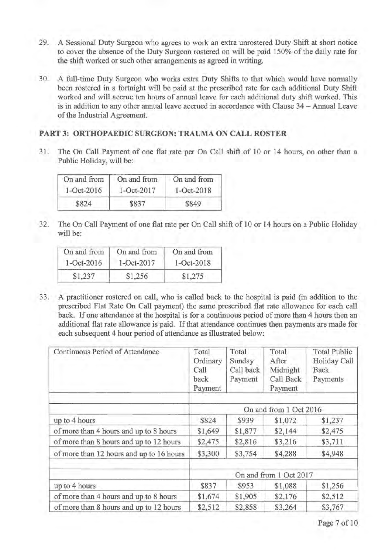- 29. A Sessional Duty Surgeon who agrees to work an extra unrostered Duty Shift at short notice to cover the absence of the Duty Surgeon rostered on will be paid 150% of the daily rate for the shift worked or such other arrangements as agreed in writing.
- 30. A full-time Duty Surgeon who works extra Duty Shifts to that which would have normally been rostered in a fortnight will be paid at the prescribed rate for each additional Duty Shift worked and will accrue ten hours of annual leave for each additional duty shift worked. This is in addition to any other annual leave accrued in accordance with Clause 34 - Annual Leave of the Industrial Agreement.

# **PART 3: ORTHOPAEDIC SURGEON: TRAUMA ON CALL ROSTER**

31. The On Call Payment of one flat rate per On Call shift of 10 or 14 hours, on other than a Public Holiday, will be:

| On and from | On and from | On and from |
|-------------|-------------|-------------|
| 1-Oct-2016  | 1-Oct-2017  | 1-Oct-2018  |
| \$824       | \$837       | \$849       |

32. The On Call Payment of one flat rate per On Call shift of 10 or 14 hours on a Public Holiday will be:

| On and from | On and from | On and from      |
|-------------|-------------|------------------|
| 1-Oct-2016  | 1-Oct-2017  | $1 - Oct - 2018$ |
| \$1,237     | \$1,256     | \$1,275          |

33. A practitioner rostered on call, who is called back to the hospital is paid (in addition to the prescribed Flat Rate On Call payment) the same prescribed flat rate allowance for each call back. If one attendance at the hospital is for a continuous period of more than 4 hours then an additional flat rate allowance is paid. If that attendance continues then payments are made for each subsequent 4 hour period of attendance as illustrated below:

| Continuous Period of Attendance          | Total<br>Ordinary<br>Call<br>back<br>Payment | Total<br>Sunday<br>Call back<br>Payment | Total<br>After<br>Midnight<br>Call Back<br>Payment | <b>Total Public</b><br>Holiday Call<br>Back<br>Payments |  |
|------------------------------------------|----------------------------------------------|-----------------------------------------|----------------------------------------------------|---------------------------------------------------------|--|
|                                          | On and from 1 Oct 2016                       |                                         |                                                    |                                                         |  |
| up to 4 hours                            | \$824                                        | \$939                                   | \$1,072                                            | \$1,237                                                 |  |
| of more than 4 hours and up to 8 hours   | \$1,649                                      | \$1,877                                 | \$2,144                                            | \$2,475                                                 |  |
| of more than 8 hours and up to 12 hours  | \$2,475                                      | \$2,816                                 | \$3,216                                            | \$3,711                                                 |  |
| of more than 12 hours and up to 16 hours | \$3,300                                      | \$3,754                                 | \$4,288                                            | \$4,948                                                 |  |
|                                          | On and from 1 Oct 2017                       |                                         |                                                    |                                                         |  |
| up to 4 hours                            | \$837                                        | \$953                                   | \$1,088                                            | \$1,256                                                 |  |
| of more than 4 hours and up to 8 hours   | \$1,674                                      | \$1,905                                 | \$2,176                                            | \$2,512                                                 |  |
| of more than 8 hours and up to 12 hours  | \$2,512                                      | \$2,858                                 | \$3,264                                            | \$3,767                                                 |  |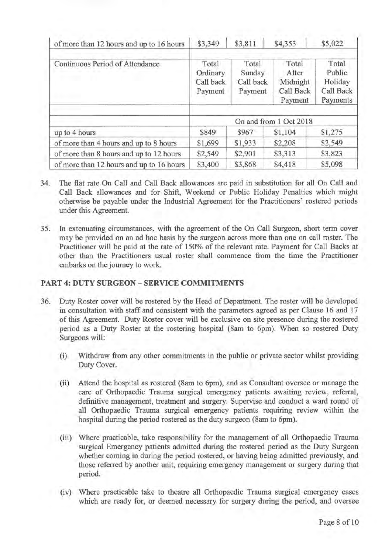| of more than 12 hours and up to 16 hours | \$3,349                                   | \$3,811                                 | \$4,353                                            | \$5,022                                             |
|------------------------------------------|-------------------------------------------|-----------------------------------------|----------------------------------------------------|-----------------------------------------------------|
| Continuous Period of Attendance          | Total<br>Ordinary<br>Call back<br>Payment | Total<br>Sunday<br>Call back<br>Payment | Total<br>After<br>Midnight<br>Call Back<br>Payment | Total<br>Public<br>Holiday<br>Call Back<br>Payments |
|                                          | On and from 1 Oct 2018                    |                                         |                                                    |                                                     |
| up to 4 hours                            | \$849                                     | \$967                                   | \$1,104                                            | \$1,275                                             |
| of more than 4 hours and up to 8 hours   | \$1,699                                   | \$1,933                                 | \$2,208                                            | \$2,549                                             |
| of more than 8 hours and up to 12 hours  | \$2,549                                   | \$2,901                                 | \$3,313                                            | \$3,823                                             |
| of more than 12 hours and up to 16 hours | \$3,400                                   | \$3,868                                 | \$4,418                                            | \$5,098                                             |

- 34. The flat rate On Call and Call Back allowances are paid in substitution for all On Call and Call Back allowances and for Shift, Weekend or Public Holiday Penalties which might otherwise be payable under the Industrial Agreement for the Practitioners' rostered periods under this Agreement.
- 35. In extenuating circumstances, with the agreement of the On Call Surgeon, short term cover may be provided on an ad hoc basis by the surgeon across more than one on call roster. The Practitioner will be paid at the rate of 150% of the relevant rate. Payment for Call Backs at other than the Practitioners usual roster shall commence from the time the Practitioner embarks on the journey to work.

### **PART 4: DUTY SURGEON - SERVICE COMMITMENTS**

- 36. Duty Roster cover will be rostered by the Head of Department. The roster will be developed in consultation with staff and consistent with the parameters agreed as per Clause 16 and 17 of this Agreement. Duty Roster cover will be exclusive on site presence during the rostered period as a Duty Roster at the rostering hospital (8am to 6pm). When so rostered Duty Surgeons will:
	- (i) Withdraw from any other commitments in the public or private sector whilst providing Duty Cover.
	- (ii) Attend the hospital as rostered (8am to 6pm), and as Consultant oversee or manage the care of Orthopaedic Trauma surgical emergency patients awaiting review, referral, definitive management, treatment and surgery. Supervise and conduct a ward round of all Orthopaedic Trauma surgical emergency patients requiring review within the hospital during the period rostered as the duty surgeon (8am to 6pm).
	- (iii) Where practicable, take responsibility for the management of all Orthopaedic Trauma surgical Emergency patients admitted during the rostered period as the Duty Surgeon whether coming in during the period rostered, or having being admitted previously, and those referred by another unit, requiring emergency management or surgery during that period.
	- (iv) Where practicable take to theatre all Orthopaedic Trauma surgical emergency cases which are ready for, or deemed necessary for surgery during the period, and oversee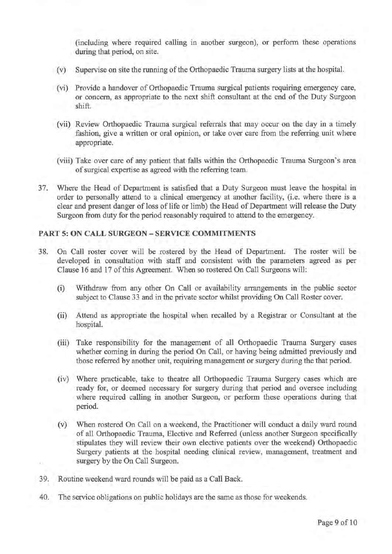(including where required calling in another surgeon), or perform these operations during that period, on site.

- (v) Supervise on site the running of the Orthopaedic Trauma surgery lists at the hospital.
- (vi) Provide a handover of Orthopaedic Trauma surgical patients requiring emergency care, or concern, as appropriate to the next shift consultant at the end of the Duty Surgeon shift.
- (vii) Review Orthopaedic Trauma surgical referrals that may occur on the day in a timely fashion, give a written or oral opinion, or take over care from the referring unit where appropriate.
- (viii) Take over care of any patient that falls within the Orthopaedic Trauma Surgeon's area of surgical expertise as agreed with the referring team.
- 3 7. Where the Head of Department is satisfied that a Duty Surgeon must leave the hospital in order to personally attend to a clinical emergency at another facility, (i.e. where there is a clear and present danger of loss of life or limb) the Head of Department will release the Duty Surgeon from duty for the period reasonably required to attend to the emergency.

# **PART 5: ON CALL SURGEON - SERVICE COMMITMENTS**

- 38. On Call roster cover will be rostered by the Head of Department. The roster will be developed in consultation with staff and consistent with the parameters agreed as per Clause 16 and 17 of this Agreement. When so rostered On Call Surgeons will:
	- (i) Withdraw from any other On Call or availability arrangements in the public sector subject to Clause 33 and in the private sector whilst providing On Call Roster cover.
	- (ii) Attend as appropriate the hospital when recalled by a Registrar or Consultant at the hospital.
	- (iii) Take responsibility for the management of all Orthopaedic Trauma Surgery cases whether coming in during the period On Call, or having being admitted previously and those referred by another unit, requiring management or surgery during the that period.
	- (iv) Where practicable, take to theatre all Orthopaedic Trauma Surgery cases which are ready for, or deemed necessary for surgery during that period and oversee including where required calling in another Surgeon, or perform these operations during that period.
	- (v) When rostered On Call on a weekend, the Practitioner will conduct a daily ward round of all Orthopaedic Trauma, Elective and Referred (unless another Surgeon specifically stipulates they will review their own elective patients over the weekend) Orthopaedic Surgery patients at the hospital needing clinical review, management, treatment and surgery by the On Call Surgeon.
- 39. Routine weekend ward rounds will be paid as a Call Back.
- 40. The service obligations on public holidays are the same as those for weekends.